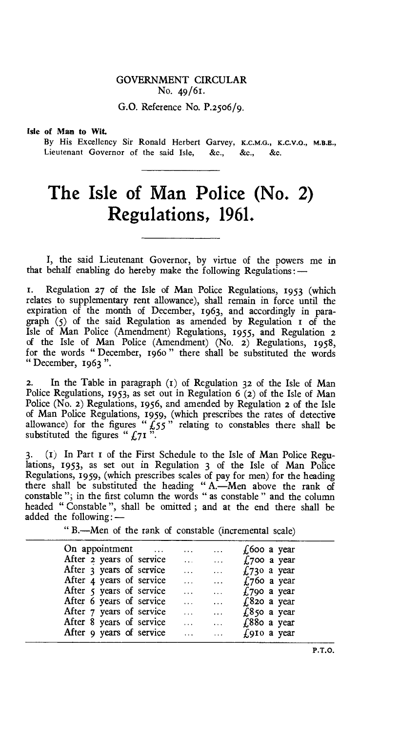## GOVERNMENT CIRCULAR No. 49/61.

G.O. Reference No. P.2506/9.

## **Isle of Man to Wit.**

By His Excellency Sir Ronald Herbert Garvey, K.C.M.G., K.C.V.O., M.B.E., Lieutenant Governor of the said Isle, &c., &c., &c.

## **The Isle of Man Police (No. 2) Regulations, 1961.**

I, the said Lieutenant Governor, by virtue of the powers me in that behalf enabling do hereby make the following Regulations :-

I. Regulation 27 of the Isle of Man Police Regulations, 1953 (which relates to supplementary rent allowance), shall remain in force until the expiration of the month of December, 1963, and accordingly in paragraph (5) of the said Regulation as amended by Regulation 1 of the Isle of Man Police (Amendment) Regulations, 1955, and Regulation **2**  of the Isle of Man Police (Amendment) (No. 2) Regulations, 1958, for the words " December, 1960 " there shall be substituted the words " December, 1963 ".

2. In the Table in paragraph (t) of Regulation 32 of the Isle of Man Police Regulations, 1953, as set out in Regulation 6 (2) of the Isle of Man Police (No. 2) Regulations, 1956, and amended by Regulation **2** of the Isle of Man Police Regulations, 1959, (which prescribes the rates of detective allowance) for the figures " $\frac{1}{55}$ " relating to constables there shall be substituted the figures " $f_{71}$ ".

3. (t) In Part 1 of the First Schedule to the Isle of Man Police Regulations, 1953, as set out in Regulation 3 of the Isle of Man Police Regulations, 1959, (which prescribes scales of pay for men) for the heading there shall be substituted the heading " A.—Men above the rank of constable "; in the first column the words " as constable " and the column headed " Constable ", shall be omitted ; and at the end there shall be added the following:-

" B.—Men of the rank of constable (incremental scale)

| On appointment<br><b>Contract Contract</b> | $\cdots$  | $\cdots$             | $\sqrt{600}$ a year |
|--------------------------------------------|-----------|----------------------|---------------------|
| After 2 years of service                   | $\ddotsc$ | $\sim$ 100 $\sim$    | $£700$ a year       |
| After 3 years of service                   | $\ddotsc$ | $\ldots$             | £730 a year         |
| After 4 years of service                   | $\cdots$  | $\cdots$             | $£760$ a year       |
| After 5 years of service                   | $\ddotsc$ |                      | $£790$ a year       |
| After 6 years of service                   | $\ddotsc$ | $\sim$ $\sim$ $\sim$ | $£820$ a year       |
| After 7 years of service                   |           | $\cdots$             | $£850$ a year       |
| After 8 years of service                   | $\cdots$  | $\cdots$             | $£880$ a year       |
| After 9 years of service                   | $\cdots$  | $\ddotsc$            | $f_{.}9I0$ a year   |